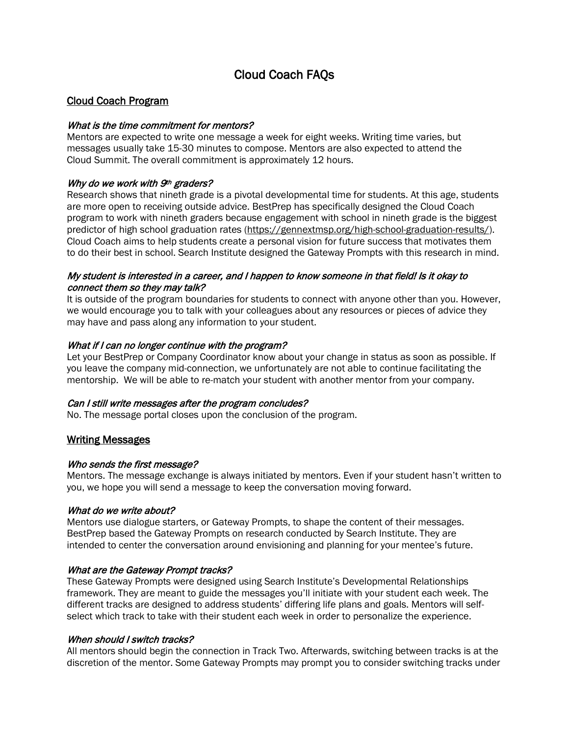# Cloud Coach FAQs

# Cloud Coach Program

### What is the time commitment for mentors?

Mentors are expected to write one message a week for eight weeks. Writing time varies, but messages usually take 15-30 minutes to compose. Mentors are also expected to attend the Cloud Summit. The overall commitment is approximately 12 hours.

### Why do we work with  $9<sup>th</sup>$  graders?

Research shows that nineth grade is a pivotal developmental time for students. At this age, students are more open to receiving outside advice. BestPrep has specifically designed the Cloud Coach program to work with nineth graders because engagement with school in nineth grade is the biggest predictor of high school graduation rates [\(https://gennextmsp.org/high-school-graduation-results/\)](https://gennextmsp.org/high-school-graduation-results/). Cloud Coach aims to help students create a personal vision for future success that motivates them to do their best in school. Search Institute designed the Gateway Prompts with this research in mind.

# My student is interested in a career, and I happen to know someone in that field! Is it okay to connect them so they may talk?

It is outside of the program boundaries for students to connect with anyone other than you. However, we would encourage you to talk with your colleagues about any resources or pieces of advice they may have and pass along any information to your student.

### What if I can no longer continue with the program?

Let your BestPrep or Company Coordinator know about your change in status as soon as possible. If you leave the company mid-connection, we unfortunately are not able to continue facilitating the mentorship. We will be able to re-match your student with another mentor from your company.

### Can I still write messages after the program concludes?

No. The message portal closes upon the conclusion of the program.

### Writing Messages

### Who sends the first message?

Mentors. The message exchange is always initiated by mentors. Even if your student hasn't written to you, we hope you will send a message to keep the conversation moving forward.

### What do we write about?

Mentors use dialogue starters, or Gateway Prompts, to shape the content of their messages. BestPrep based the Gateway Prompts on research conducted by Search Institute. They are intended to center the conversation around envisioning and planning for your mentee's future.

### What are the Gateway Prompt tracks?

These Gateway Prompts were designed using Search Institute's Developmental Relationships framework. They are meant to guide the messages you'll initiate with your student each week. The different tracks are designed to address students' differing life plans and goals. Mentors will selfselect which track to take with their student each week in order to personalize the experience.

### When should I switch tracks?

All mentors should begin the connection in Track Two. Afterwards, switching between tracks is at the discretion of the mentor. Some Gateway Prompts may prompt you to consider switching tracks under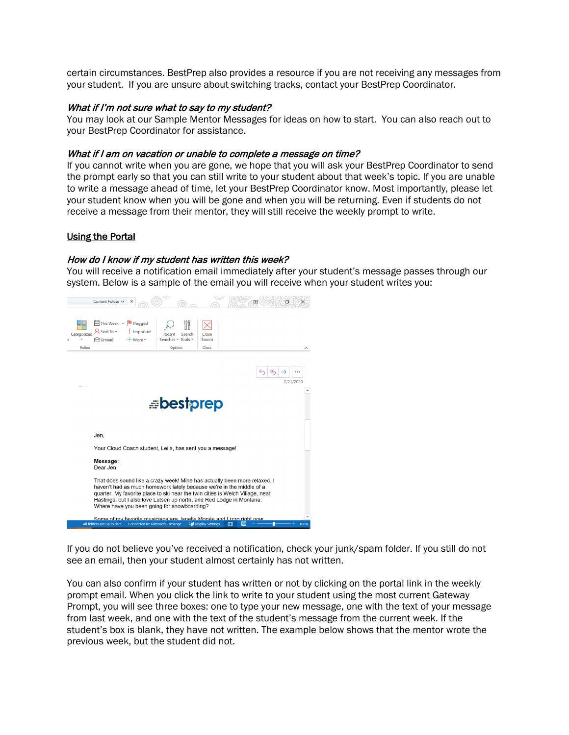certain circumstances. BestPrep also provides a resource if you are not receiving any messages from your student. If you are unsure about switching tracks, contact your BestPrep Coordinator.

#### What if I'm not sure what to say to my student?

You may look at our Sample Mentor Messages for ideas on how to start. You can also reach out to your BestPrep Coordinator for assistance.

#### What if I am on vacation or unable to complete a message on time?

If you cannot write when you are gone, we hope that you will ask your BestPrep Coordinator to send the prompt early so that you can still write to your student about that week's topic. If you are unable to write a message ahead of time, let your BestPrep Coordinator know. Most importantly, please let your student know when you will be gone and when you will be returning. Even if students do not receive a message from their mentor, they will still receive the weekly prompt to write.

#### Using the Portal

#### How do I know if my student has written this week?

You will receive a notification email immediately after your student's message passes through our system. Below is a sample of the email you will receive when your student writes you:



If you do not believe you've received a notification, check your junk/spam folder. If you still do not see an email, then your student almost certainly has not written.

You can also confirm if your student has written or not by clicking on the portal link in the weekly prompt email. When you click the link to write to your student using the most current Gateway Prompt, you will see three boxes: one to type your new message, one with the text of your message from last week, and one with the text of the student's message from the current week. If the student's box is blank, they have not written. The example below shows that the mentor wrote the previous week, but the student did not.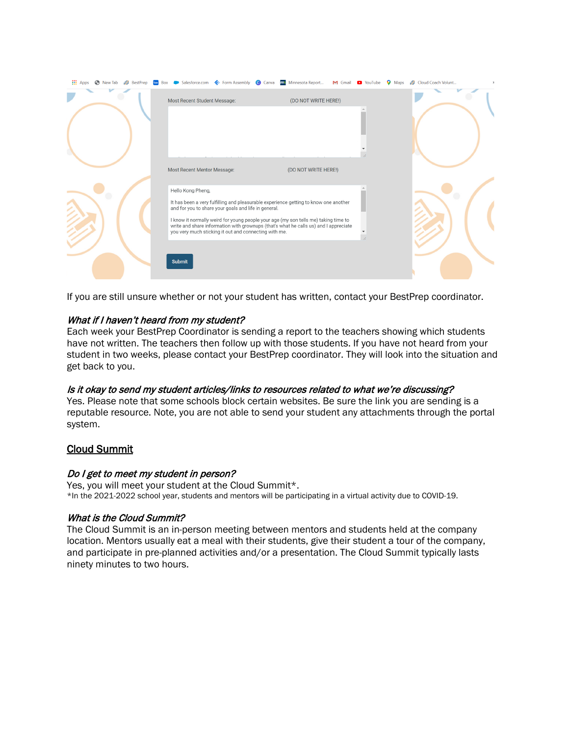| Most Recent Student Message:<br>(DO NOT WRITE HERE!)<br>Most Recent Mentor Message:<br>(DO NOT WRITE HERE!)<br>Hello Kong Pheng,<br>It has been a very fulfilling and pleasurable experience getting to know one another<br>and for you to share your goals and life in general.<br>I know it normally weird for young people your age (my son tells me) taking time to<br>write and share information with grownups (that's what he calls us) and I appreciate<br>you very much sticking it out and connecting with me.<br><b>Submit</b> | <b>III</b> Apps |  | → New Tab ## BestPrep to Box → Salesforce.com → Form Assembly © Canva m Minnesota Report M Gmail ■ YouTube ♥ Maps ## Cloud Coach Volunt |  |  |  |  |  |  |  |
|-------------------------------------------------------------------------------------------------------------------------------------------------------------------------------------------------------------------------------------------------------------------------------------------------------------------------------------------------------------------------------------------------------------------------------------------------------------------------------------------------------------------------------------------|-----------------|--|-----------------------------------------------------------------------------------------------------------------------------------------|--|--|--|--|--|--|--|
|                                                                                                                                                                                                                                                                                                                                                                                                                                                                                                                                           |                 |  |                                                                                                                                         |  |  |  |  |  |  |  |
|                                                                                                                                                                                                                                                                                                                                                                                                                                                                                                                                           |                 |  |                                                                                                                                         |  |  |  |  |  |  |  |
|                                                                                                                                                                                                                                                                                                                                                                                                                                                                                                                                           |                 |  |                                                                                                                                         |  |  |  |  |  |  |  |
|                                                                                                                                                                                                                                                                                                                                                                                                                                                                                                                                           |                 |  |                                                                                                                                         |  |  |  |  |  |  |  |

If you are still unsure whether or not your student has written, contact your BestPrep coordinator.

# What if I haven't heard from my student?

Each week your BestPrep Coordinator is sending a report to the teachers showing which students have not written. The teachers then follow up with those students. If you have not heard from your student in two weeks, please contact your BestPrep coordinator. They will look into the situation and get back to you.

# Is it okay to send my student articles/links to resources related to what we're discussing?

Yes. Please note that some schools block certain websites. Be sure the link you are sending is a reputable resource. Note, you are not able to send your student any attachments through the portal system.

# Cloud Summit

### Do I get to meet my student in person?

Yes, you will meet your student at the Cloud Summit\*.<br>\*In the 2021-2022 school year, students and mentors will be participating in a virtual activity due to COVID-19.

### What is the Cloud Summit?

The Cloud Summit is an in-person meeting between mentors and students held at the company location. Mentors usually eat a meal with their students, give their student a tour of the company, and participate in pre-planned activities and/or a presentation. The Cloud Summit typically lasts ninety minutes to two hours.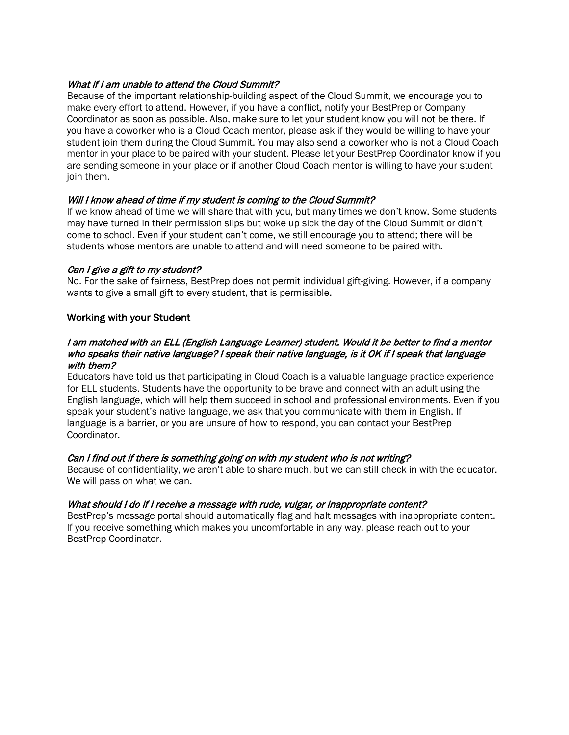# What if I am unable to attend the Cloud Summit?

Because of the important relationship-building aspect of the Cloud Summit, we encourage you to make every effort to attend. However, if you have a conflict, notify your BestPrep or Company Coordinator as soon as possible. Also, make sure to let your student know you will not be there. If you have a coworker who is a Cloud Coach mentor, please ask if they would be willing to have your student join them during the Cloud Summit. You may also send a coworker who is not a Cloud Coach mentor in your place to be paired with your student. Please let your BestPrep Coordinator know if you are sending someone in your place or if another Cloud Coach mentor is willing to have your student join them.

# Will I know ahead of time if my student is coming to the Cloud Summit?

If we know ahead of time we will share that with you, but many times we don't know. Some students may have turned in their permission slips but woke up sick the day of the Cloud Summit or didn't come to school. Even if your student can't come, we still encourage you to attend; there will be students whose mentors are unable to attend and will need someone to be paired with.

# Can I give a gift to my student?

No. For the sake of fairness, BestPrep does not permit individual gift-giving. However, if a company wants to give a small gift to every student, that is permissible.

# Working with your Student

### I am matched with an ELL (English Language Learner) student. Would it be better to find a mentor who speaks their native language? I speak their native language, is it OK if I speak that language with them?

Educators have told us that participating in Cloud Coach is a valuable language practice experience for ELL students. Students have the opportunity to be brave and connect with an adult using the English language, which will help them succeed in school and professional environments. Even if you speak your student's native language, we ask that you communicate with them in English. If language is a barrier, or you are unsure of how to respond, you can contact your BestPrep Coordinator.

### Can I find out if there is something going on with my student who is not writing?

Because of confidentiality, we aren't able to share much, but we can still check in with the educator. We will pass on what we can.

### What should I do if I receive a message with rude, vulgar, or inappropriate content?

BestPrep's message portal should automatically flag and halt messages with inappropriate content. If you receive something which makes you uncomfortable in any way, please reach out to your BestPrep Coordinator.